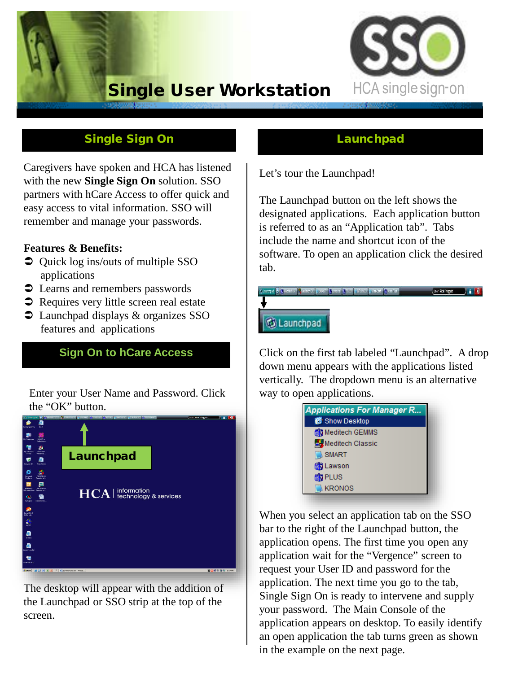# Single User Workstation



## Single Sign On

Caregivers have spoken and HCA has listened with the new **Single Sign On** solution. SSO partners with hCare Access to offer quick and easy access to vital information. SSO will remember and manage your passwords.

#### **Features & Benefits:**

- $\bullet$  Quick log ins/outs of multiple SSO applications
- applications<br>  $\bullet$  Learns and remembers passwords
- $\supset$  Learns and remembers passwords<br>  $\supset$  Requires very little screen real estate
- Requires very little screen real estate<br>• Launchpad displays & organizes SSO features and applications

#### **Sign On to hCare Access**

Enter your User Name and Password. Click the "OK" button.



The desktop will appear with the addition of the Launchpad or SSO strip at the top of the screen.

#### **Launchpad**

Let's tour the Launchpad!

The Launchpad button on the left shows the designated applications. Each application button is referred to as an "Application tab". Tabs include the name and shortcut icon of the software. To open an application click the desired tab.

# User Rokingget (1999) 8 3 **G** Launchpad

Click on the first tab labeled "Launchpad". A drop down menu appears with the applications listed vertically. The dropdown menu is an alternative way to open applications.



When you select an application tab on the SSO bar to the right of the Launchpad button, the application opens. The first time you open any application wait for the "Vergence" screen to request your User ID and password for the application. The next time you go to the tab, Single Sign On is ready to intervene and supply your password. The Main Console of the application appears on desktop. To easily identify an open application the tab turns green as shown in the example on the next page.